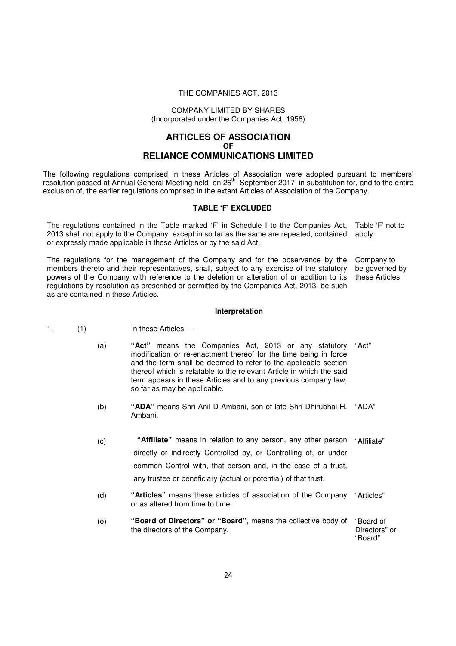### THE COMPANIES ACT, 2013

### COMPANY LIMITED BY SHARES (Incorporated under the Companies Act, 1956)

# **ARTICLES OF ASSOCIATION OF RELIANCE COMMUNICATIONS LIMITED**

The following regulations comprised in these Articles of Association were adopted pursuant to members' resolution passed at Annual General Meeting held on 26<sup>th</sup> September, 2017 in substitution for, and to the entire exclusion of, the earlier regulations comprised in the extant Articles of Association of the Company.

## **TABLE 'F' EXCLUDED**

The regulations contained in the Table marked 'F' in Schedule I to the Companies Act, 2013 shall not apply to the Company, except in so far as the same are repeated, contained or expressly made applicable in these Articles or by the said Act. Table 'F' not to apply

The regulations for the management of the Company and for the observance by the members thereto and their representatives, shall, subject to any exercise of the statutory powers of the Company with reference to the deletion or alteration of or addition to its regulations by resolution as prescribed or permitted by the Companies Act, 2013, be such as are contained in these Articles. Company to be governed by these Articles

### **Interpretation**

- 1. (1) In these Articles
	- (a) **"Act"** means the Companies Act, 2013 or any statutory modification or re-enactment thereof for the time being in force and the term shall be deemed to refer to the applicable section thereof which is relatable to the relevant Article in which the said term appears in these Articles and to any previous company law, so far as may be applicable. "Act"
	- (b) **"ADA"** means Shri Anil D Ambani, son of late Shri Dhirubhai H. Ambani. "ADA"
	- (c) **"Affiliate"** means in relation to any person, any other person "Affiliate" directly or indirectly Controlled by, or Controlling of, or under common Control with, that person and, in the case of a trust, any trustee or beneficiary (actual or potential) of that trust.
	- (d) **"Articles"** means these articles of association of the Company or as altered from time to time. "Articles"
	- (e) **"Board of Directors" or "Board"**, means the collective body of the directors of the Company. "Board of Directors" or

"Board"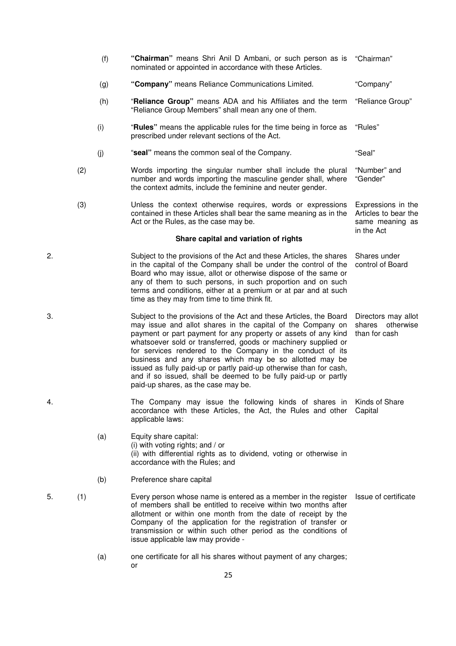|    |     | (f) | "Chairman" means Shri Anil D Ambani, or such person as is "Chairman"<br>nominated or appointed in accordance with these Articles.                                                                                                                                                                                                                                                                                                                                                                                                                                              |                                                                             |
|----|-----|-----|--------------------------------------------------------------------------------------------------------------------------------------------------------------------------------------------------------------------------------------------------------------------------------------------------------------------------------------------------------------------------------------------------------------------------------------------------------------------------------------------------------------------------------------------------------------------------------|-----------------------------------------------------------------------------|
|    |     | (g) | "Company" means Reliance Communications Limited.                                                                                                                                                                                                                                                                                                                                                                                                                                                                                                                               | "Company"                                                                   |
|    |     | (h) | "Reliance Group" means ADA and his Affiliates and the term<br>"Reliance Group Members" shall mean any one of them.                                                                                                                                                                                                                                                                                                                                                                                                                                                             | "Reliance Group"                                                            |
|    |     | (i) | "Rules" means the applicable rules for the time being in force as<br>prescribed under relevant sections of the Act.                                                                                                                                                                                                                                                                                                                                                                                                                                                            | "Rules"                                                                     |
|    |     | (j) | "seal" means the common seal of the Company.                                                                                                                                                                                                                                                                                                                                                                                                                                                                                                                                   | "Seal"                                                                      |
|    | (2) |     | Words importing the singular number shall include the plural<br>number and words importing the masculine gender shall, where<br>the context admits, include the feminine and neuter gender.                                                                                                                                                                                                                                                                                                                                                                                    | "Number" and<br>"Gender"                                                    |
|    | (3) |     | Unless the context otherwise requires, words or expressions<br>contained in these Articles shall bear the same meaning as in the<br>Act or the Rules, as the case may be.                                                                                                                                                                                                                                                                                                                                                                                                      | Expressions in the<br>Articles to bear the<br>same meaning as<br>in the Act |
|    |     |     | Share capital and variation of rights                                                                                                                                                                                                                                                                                                                                                                                                                                                                                                                                          |                                                                             |
| 2. |     |     | Subject to the provisions of the Act and these Articles, the shares<br>in the capital of the Company shall be under the control of the<br>Board who may issue, allot or otherwise dispose of the same or<br>any of them to such persons, in such proportion and on such<br>terms and conditions, either at a premium or at par and at such<br>time as they may from time to time think fit.                                                                                                                                                                                    | Shares under<br>control of Board                                            |
| 3. |     |     | Subject to the provisions of the Act and these Articles, the Board<br>may issue and allot shares in the capital of the Company on<br>payment or part payment for any property or assets of any kind<br>whatsoever sold or transferred, goods or machinery supplied or<br>for services rendered to the Company in the conduct of its<br>business and any shares which may be so allotted may be<br>issued as fully paid-up or partly paid-up otherwise than for cash,<br>and if so issued, shall be deemed to be fully paid-up or partly<br>paid-up shares, as the case may be. | Directors may allot<br>shares otherwise<br>than for cash                    |
| 4. |     |     | The Company may issue the following kinds of shares in Kinds of Share<br>accordance with these Articles, the Act, the Rules and other<br>applicable laws:                                                                                                                                                                                                                                                                                                                                                                                                                      | Capital                                                                     |
|    |     | (a) | Equity share capital:<br>(i) with voting rights; and / or<br>(ii) with differential rights as to dividend, voting or otherwise in<br>accordance with the Rules; and                                                                                                                                                                                                                                                                                                                                                                                                            |                                                                             |
|    |     | (b) | Preference share capital                                                                                                                                                                                                                                                                                                                                                                                                                                                                                                                                                       |                                                                             |
| 5. | (1) |     | Every person whose name is entered as a member in the register<br>of members shall be entitled to receive within two months after<br>allotment or within one month from the date of receipt by the<br>Company of the application for the registration of transfer or<br>transmission or within such other period as the conditions of<br>issue applicable law may provide -                                                                                                                                                                                                    | Issue of certificate                                                        |
|    |     | (a) | one certificate for all his shares without payment of any charges;<br>or                                                                                                                                                                                                                                                                                                                                                                                                                                                                                                       |                                                                             |
|    |     |     | つに                                                                                                                                                                                                                                                                                                                                                                                                                                                                                                                                                                             |                                                                             |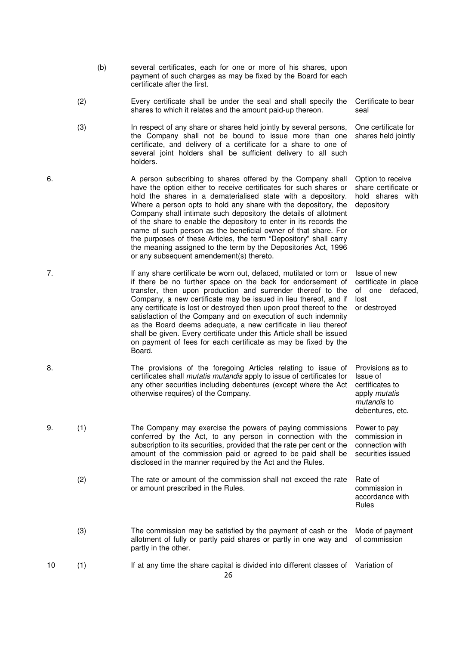- (b) several certificates, each for one or more of his shares, upon payment of such charges as may be fixed by the Board for each certificate after the first.
- (2) Every certificate shall be under the seal and shall specify the shares to which it relates and the amount paid-up thereon. Certificate to bear seal

Option to receive share certificate or hold shares with

Provisions as to

Issue of certificates to apply mutatis mutandis to debentures, etc.

Rules

depository

- (3) In respect of any share or shares held jointly by several persons, the Company shall not be bound to issue more than one certificate, and delivery of a certificate for a share to one of several joint holders shall be sufficient delivery to all such holders. One certificate for shares held jointly
- 6. A person subscribing to shares offered by the Company shall have the option either to receive certificates for such shares or hold the shares in a dematerialised state with a depository. Where a person opts to hold any share with the depository, the Company shall intimate such depository the details of allotment of the share to enable the depository to enter in its records the name of such person as the beneficial owner of that share. For the purposes of these Articles, the term "Depository" shall carry the meaning assigned to the term by the Depositories Act, 1996 or any subsequent amendement(s) thereto.
- 7. If any share certificate be worn out, defaced, mutilated or torn or if there be no further space on the back for endorsement of transfer, then upon production and surrender thereof to the Company, a new certificate may be issued in lieu thereof, and if any certificate is lost or destroyed then upon proof thereof to the satisfaction of the Company and on execution of such indemnity as the Board deems adequate, a new certificate in lieu thereof shall be given. Every certificate under this Article shall be issued on payment of fees for each certificate as may be fixed by the Board. Issue of new certificate in place of one defaced, lost or destroyed
- 8. The provisions of the foregoing Articles relating to issue of certificates shall mutatis mutandis apply to issue of certificates for any other securities including debentures (except where the Act otherwise requires) of the Company.
- 9. (1) The Company may exercise the powers of paying commissions conferred by the Act, to any person in connection with the subscription to its securities, provided that the rate per cent or the amount of the commission paid or agreed to be paid shall be disclosed in the manner required by the Act and the Rules. Power to pay commission in connection with securities issued
	- (2) The rate or amount of the commission shall not exceed the rate or amount prescribed in the Rules. Rate of commission in accordance with
	- (3) The commission may be satisfied by the payment of cash or the allotment of fully or partly paid shares or partly in one way and partly in the other. Mode of payment of commission
- 10 (1) If at any time the share capital is divided into different classes of Variation of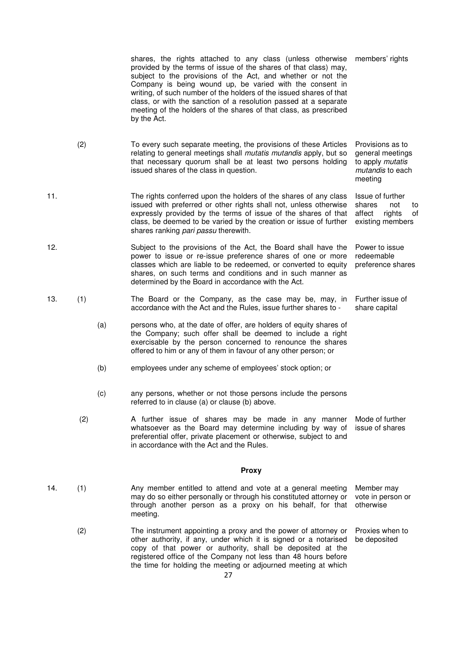shares, the rights attached to any class (unless otherwise provided by the terms of issue of the shares of that class) may, subject to the provisions of the Act, and whether or not the Company is being wound up, be varied with the consent in writing, of such number of the holders of the issued shares of that class, or with the sanction of a resolution passed at a separate meeting of the holders of the shares of that class, as prescribed by the Act. members' rights

rights of

- (2) To every such separate meeting, the provisions of these Articles relating to general meetings shall *mutatis mutandis* apply, but so that necessary quorum shall be at least two persons holding issued shares of the class in question. Provisions as to general meetings to apply mutatis mutandis to each meeting
- 11. The rights conferred upon the holders of the shares of any class issued with preferred or other rights shall not, unless otherwise expressly provided by the terms of issue of the shares of that class, be deemed to be varied by the creation or issue of further shares ranking pari passu therewith. Issue of further shares not to<br>affect rights of existing members
- 12. Subject to the provisions of the Act, the Board shall have the power to issue or re-issue preference shares of one or more classes which are liable to be redeemed, or converted to equity shares, on such terms and conditions and in such manner as determined by the Board in accordance with the Act. Power to issue redeemable preference shares
- 13. (1) The Board or the Company, as the case may be, may, in accordance with the Act and the Rules, issue further shares to - Further issue of share capital
	- (a) persons who, at the date of offer, are holders of equity shares of the Company; such offer shall be deemed to include a right exercisable by the person concerned to renounce the shares offered to him or any of them in favour of any other person; or
	- (b) employees under any scheme of employees' stock option; or
	- (c) any persons, whether or not those persons include the persons referred to in clause (a) or clause (b) above.
	- (2) A further issue of shares may be made in any manner whatsoever as the Board may determine including by way of preferential offer, private placement or otherwise, subject to and in accordance with the Act and the Rules. Mode of further issue of shares

### **Proxy**

- 14. (1) Any member entitled to attend and vote at a general meeting may do so either personally or through his constituted attorney or through another person as a proxy on his behalf, for that meeting. Member may vote in person or otherwise
	- (2) The instrument appointing a proxy and the power of attorney or other authority, if any, under which it is signed or a notarised copy of that power or authority, shall be deposited at the registered office of the Company not less than 48 hours before the time for holding the meeting or adjourned meeting at which Proxies when to be deposited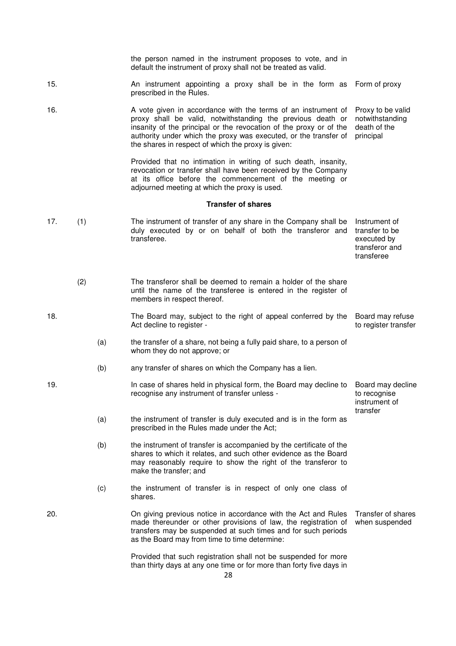|     |     |     | the person named in the instrument proposes to vote, and in<br>default the instrument of proxy shall not be treated as valid.                                                                                                                                                                                                |                                                                                |
|-----|-----|-----|------------------------------------------------------------------------------------------------------------------------------------------------------------------------------------------------------------------------------------------------------------------------------------------------------------------------------|--------------------------------------------------------------------------------|
| 15. |     |     | An instrument appointing a proxy shall be in the form as Form of proxy<br>prescribed in the Rules.                                                                                                                                                                                                                           |                                                                                |
| 16. |     |     | A vote given in accordance with the terms of an instrument of<br>proxy shall be valid, notwithstanding the previous death or<br>insanity of the principal or the revocation of the proxy or of the<br>authority under which the proxy was executed, or the transfer of<br>the shares in respect of which the proxy is given: | Proxy to be valid<br>notwithstanding<br>death of the<br>principal              |
|     |     |     | Provided that no intimation in writing of such death, insanity,<br>revocation or transfer shall have been received by the Company<br>at its office before the commencement of the meeting or<br>adjourned meeting at which the proxy is used.                                                                                |                                                                                |
|     |     |     | <b>Transfer of shares</b>                                                                                                                                                                                                                                                                                                    |                                                                                |
| 17. | (1) |     | The instrument of transfer of any share in the Company shall be<br>duly executed by or on behalf of both the transferor and<br>transferee.                                                                                                                                                                                   | Instrument of<br>transfer to be<br>executed by<br>transferor and<br>transferee |
|     | (2) |     | The transferor shall be deemed to remain a holder of the share<br>until the name of the transferee is entered in the register of<br>members in respect thereof.                                                                                                                                                              |                                                                                |
| 18. |     |     | The Board may, subject to the right of appeal conferred by the<br>Act decline to register -                                                                                                                                                                                                                                  | Board may refuse<br>to register transfer                                       |
|     |     | (a) | the transfer of a share, not being a fully paid share, to a person of<br>whom they do not approve; or                                                                                                                                                                                                                        |                                                                                |
|     |     | (b) | any transfer of shares on which the Company has a lien.                                                                                                                                                                                                                                                                      |                                                                                |
| 19. |     |     | In case of shares held in physical form, the Board may decline to<br>recognise any instrument of transfer unless -                                                                                                                                                                                                           | Board may decline<br>to recognise<br>instrument of<br>transfer                 |
|     |     | (a) | the instrument of transfer is duly executed and is in the form as<br>prescribed in the Rules made under the Act;                                                                                                                                                                                                             |                                                                                |
|     |     | (b) | the instrument of transfer is accompanied by the certificate of the<br>shares to which it relates, and such other evidence as the Board<br>may reasonably require to show the right of the transferor to<br>make the transfer; and                                                                                           |                                                                                |
|     |     | (c) | the instrument of transfer is in respect of only one class of<br>shares.                                                                                                                                                                                                                                                     |                                                                                |
| 20. |     |     | On giving previous notice in accordance with the Act and Rules<br>made thereunder or other provisions of law, the registration of<br>transfers may be suspended at such times and for such periods<br>as the Board may from time to time determine:                                                                          | Transfer of shares<br>when suspended                                           |
|     |     |     | Provided that such registration shall not be suspended for more<br>than thirty days at any one time or for more than forty five days in                                                                                                                                                                                      |                                                                                |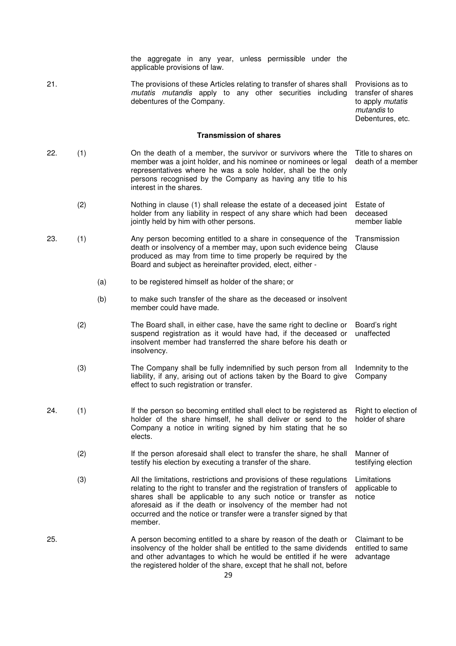the aggregate in any year, unless permissible under the applicable provisions of law.

21. The provisions of these Articles relating to transfer of shares shall mutatis mutandis apply to any other securities including debentures of the Company.

Provisions as to transfer of shares to apply mutatis mutandis to Debentures, etc.

#### **Transmission of shares**

- 22. (1) On the death of a member, the survivor or survivors where the member was a joint holder, and his nominee or nominees or legal representatives where he was a sole holder, shall be the only persons recognised by the Company as having any title to his interest in the shares. Title to shares on death of a member (2) Nothing in clause (1) shall release the estate of a deceased joint Estate of
	- holder from any liability in respect of any share which had been jointly held by him with other persons. deceased member liable **Transmission**
- 23. (1) Any person becoming entitled to a share in consequence of the death or insolvency of a member may, upon such evidence being produced as may from time to time properly be required by the Board and subject as hereinafter provided, elect, either - Clause
	- (a) to be registered himself as holder of the share; or
	- (b) to make such transfer of the share as the deceased or insolvent member could have made.
	- (2) The Board shall, in either case, have the same right to decline or suspend registration as it would have had, if the deceased or insolvent member had transferred the share before his death or insolvency. Board's right unaffected
	- (3) The Company shall be fully indemnified by such person from all liability, if any, arising out of actions taken by the Board to give effect to such registration or transfer. Indemnity to the Company
- 24. (1) If the person so becoming entitled shall elect to be registered as holder of the share himself, he shall deliver or send to the Company a notice in writing signed by him stating that he so elects. Right to election of holder of share
	- (2) If the person aforesaid shall elect to transfer the share, he shall testify his election by executing a transfer of the share. Manner of testifying election
	- (3) All the limitations, restrictions and provisions of these regulations relating to the right to transfer and the registration of transfers of shares shall be applicable to any such notice or transfer as aforesaid as if the death or insolvency of the member had not occurred and the notice or transfer were a transfer signed by that member. Limitations applicable to notice
- 25. A person becoming entitled to a share by reason of the death or insolvency of the holder shall be entitled to the same dividends and other advantages to which he would be entitled if he were the registered holder of the share, except that he shall not, before Claimant to be entitled to same advantage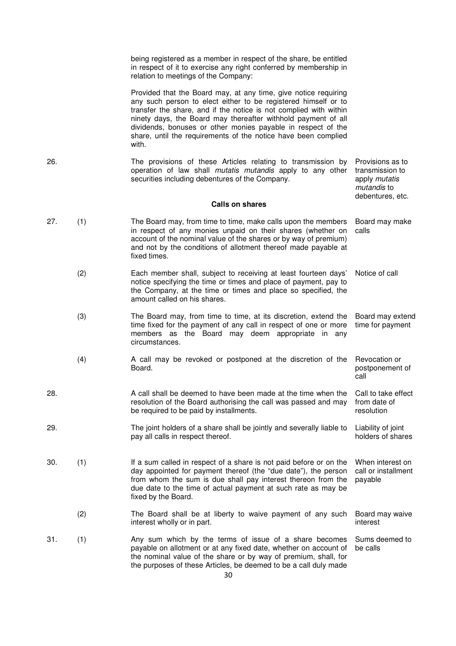being registered as a member in respect of the share, be entitled in respect of it to exercise any right conferred by membership in relation to meetings of the Company:

 Provided that the Board may, at any time, give notice requiring any such person to elect either to be registered himself or to transfer the share, and if the notice is not complied with within ninety days, the Board may thereafter withhold payment of all dividends, bonuses or other monies payable in respect of the share, until the requirements of the notice have been complied with.

26. The provisions of these Articles relating to transmission by operation of law shall mutatis mutandis apply to any other securities including debentures of the Company. Provisions as to transmission to apply mutatis

mutandis to debentures, etc.

### **Calls on shares**

27. (1) The Board may, from time to time, make calls upon the members in respect of any monies unpaid on their shares (whether on account of the nominal value of the shares or by way of premium) and not by the conditions of allotment thereof made payable at fixed times. Board may make calls (2) Each member shall, subject to receiving at least fourteen days' notice specifying the time or times and place of payment, pay to the Company, at the time or times and place so specified, the amount called on his shares. Notice of call (3) The Board may, from time to time, at its discretion, extend the time fixed for the payment of any call in respect of one or more members as the Board may deem appropriate in any circumstances. Board may extend time for payment (4) A call may be revoked or postponed at the discretion of the Board. Revocation or postponement of call 28. A call shall be deemed to have been made at the time when the resolution of the Board authorising the call was passed and may be required to be paid by installments. Call to take effect from date of resolution 29. The joint holders of a share shall be jointly and severally liable to pay all calls in respect thereof. Liability of joint holders of shares 30. (1) If a sum called in respect of a share is not paid before or on the day appointed for payment thereof (the "due date"), the person from whom the sum is due shall pay interest thereon from the due date to the time of actual payment at such rate as may be fixed by the Board. When interest on call or installment payable (2) The Board shall be at liberty to waive payment of any such interest wholly or in part. Board may waive interest 31. (1) Any sum which by the terms of issue of a share becomes payable on allotment or at any fixed date, whether on account of the nominal value of the share or by way of premium, shall, for the purposes of these Articles, be deemed to be a call duly made Sums deemed to be calls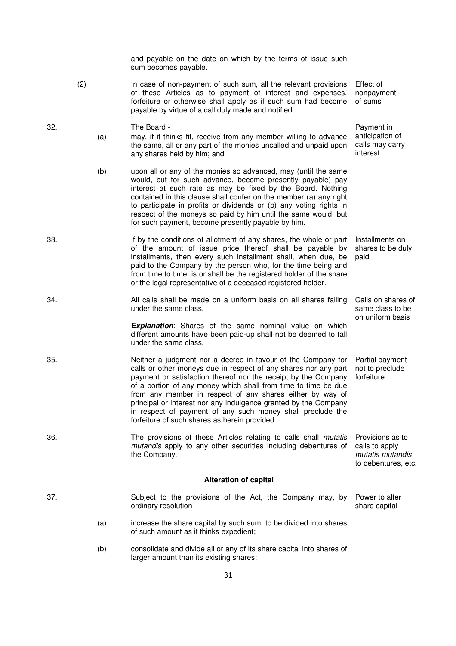and payable on the date on which by the terms of issue such sum becomes payable.

> anticipation of calls may carry interest

Calls on shares of same class to be on uniform basis

- (2) In case of non-payment of such sum, all the relevant provisions of these Articles as to payment of interest and expenses, forfeiture or otherwise shall apply as if such sum had become payable by virtue of a call duly made and notified. Effect of nonpayment of sums
- 32. The Board Payment in (a) may, if it thinks fit, receive from any member willing to advance the same, all or any part of the monies uncalled and unpaid upon any shares held by him; and
	- (b) upon all or any of the monies so advanced, may (until the same would, but for such advance, become presently payable) pay interest at such rate as may be fixed by the Board. Nothing contained in this clause shall confer on the member (a) any right to participate in profits or dividends or (b) any voting rights in respect of the moneys so paid by him until the same would, but for such payment, become presently payable by him.
- 33. If by the conditions of allotment of any shares, the whole or part of the amount of issue price thereof shall be payable by installments, then every such installment shall, when due, be paid to the Company by the person who, for the time being and from time to time, is or shall be the registered holder of the share or the legal representative of a deceased registered holder. Installments on shares to be duly paid
- 34. All calls shall be made on a uniform basis on all shares falling under the same class.

**Explanation:** Shares of the same nominal value on which different amounts have been paid-up shall not be deemed to fall under the same class.

- 35. Neither a judgment nor a decree in favour of the Company for calls or other moneys due in respect of any shares nor any part payment or satisfaction thereof nor the receipt by the Company of a portion of any money which shall from time to time be due from any member in respect of any shares either by way of principal or interest nor any indulgence granted by the Company in respect of payment of any such money shall preclude the forfeiture of such shares as herein provided. Partial payment not to preclude forfeiture
- 36. The provisions of these Articles relating to calls shall *mutatis* mutandis apply to any other securities including debentures of the Company. Provisions as to calls to apply mutatis mutandis to debentures, etc.

### **Alteration of capital**

- 37. Subject to the provisions of the Act, the Company may, by ordinary resolution - Power to alter share capital
	- (a) increase the share capital by such sum, to be divided into shares of such amount as it thinks expedient;
	- (b) consolidate and divide all or any of its share capital into shares of larger amount than its existing shares: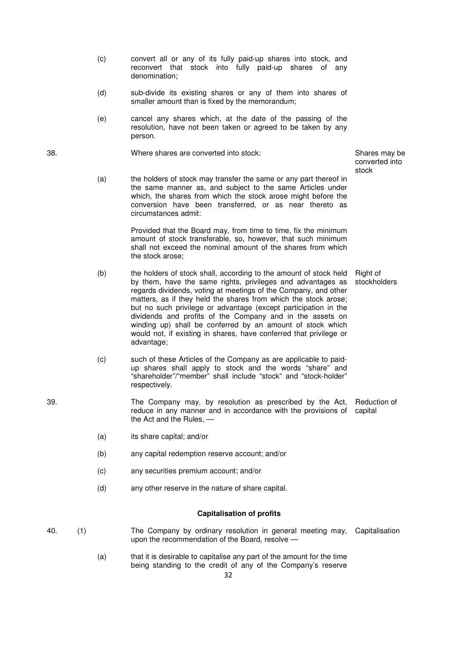- (c) convert all or any of its fully paid-up shares into stock, and reconvert that stock into fully paid-up shares of any denomination;
- (d) sub-divide its existing shares or any of them into shares of smaller amount than is fixed by the memorandum;
- (e) cancel any shares which, at the date of the passing of the resolution, have not been taken or agreed to be taken by any person.

38. Where shares are converted into stock: Shares may be

 (a) the holders of stock may transfer the same or any part thereof in the same manner as, and subject to the same Articles under which, the shares from which the stock arose might before the conversion have been transferred, or as near thereto as circumstances admit:

> Provided that the Board may, from time to time, fix the minimum amount of stock transferable, so, however, that such minimum shall not exceed the nominal amount of the shares from which the stock arose;

- (b) the holders of stock shall, according to the amount of stock held by them, have the same rights, privileges and advantages as regards dividends, voting at meetings of the Company, and other matters, as if they held the shares from which the stock arose; but no such privilege or advantage (except participation in the dividends and profits of the Company and in the assets on winding up) shall be conferred by an amount of stock which would not, if existing in shares, have conferred that privilege or advantage; Right of
- (c) such of these Articles of the Company as are applicable to paidup shares shall apply to stock and the words "share" and "shareholder"/"member" shall include "stock" and "stock-holder" respectively.
- 39. The Company may, by resolution as prescribed by the Act, reduce in any manner and in accordance with the provisions of the Act and the Rules, — Reduction of capital
	- (a) its share capital; and/or
	- (b) any capital redemption reserve account; and/or
	- (c) any securities premium account; and/or
	- (d) any other reserve in the nature of share capital.

### **Capitalisation of profits**

- 40. (1) The Company by ordinary resolution in general meeting may, Capitalisation upon the recommendation of the Board, resolve —
	- 32 (a) that it is desirable to capitalise any part of the amount for the time being standing to the credit of any of the Company's reserve

converted into stock

stockholders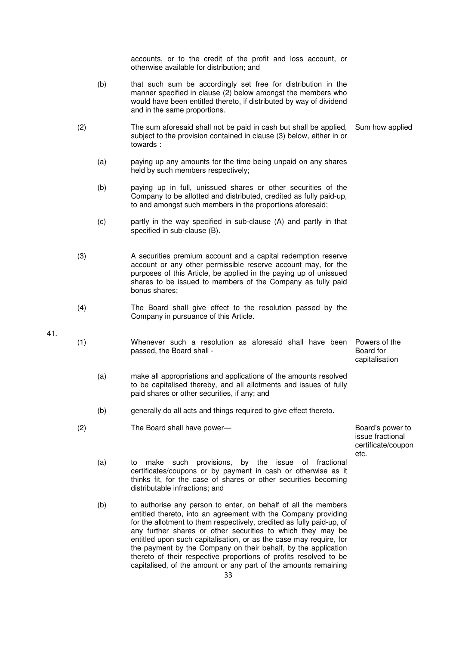accounts, or to the credit of the profit and loss account, or otherwise available for distribution; and

- (b) that such sum be accordingly set free for distribution in the manner specified in clause (2) below amongst the members who would have been entitled thereto, if distributed by way of dividend and in the same proportions.
- (2) The sum aforesaid shall not be paid in cash but shall be applied, subject to the provision contained in clause (3) below, either in or towards : Sum how applied
	- (a) paying up any amounts for the time being unpaid on any shares held by such members respectively;
	- (b) paying up in full, unissued shares or other securities of the Company to be allotted and distributed, credited as fully paid-up, to and amongst such members in the proportions aforesaid;
	- (c) partly in the way specified in sub-clause (A) and partly in that specified in sub-clause (B).
- (3) A securities premium account and a capital redemption reserve account or any other permissible reserve account may, for the purposes of this Article, be applied in the paying up of unissued shares to be issued to members of the Company as fully paid bonus shares;
- (4) The Board shall give effect to the resolution passed by the Company in pursuance of this Article.
- 41.
- (1) Whenever such a resolution as aforesaid shall have been passed, the Board shall - Powers of the Board for
	- (a) make all appropriations and applications of the amounts resolved to be capitalised thereby, and all allotments and issues of fully paid shares or other securities, if any; and
	- (b) generally do all acts and things required to give effect thereto.
- (2) The Board shall have power— Board's power to be a state of the Board's power to

issue fractional certificate/coupon etc.

capitalisation

- (a) to make such provisions, by the issue of fractional certificates/coupons or by payment in cash or otherwise as it thinks fit, for the case of shares or other securities becoming distributable infractions; and
- (b) to authorise any person to enter, on behalf of all the members entitled thereto, into an agreement with the Company providing for the allotment to them respectively, credited as fully paid-up, of any further shares or other securities to which they may be entitled upon such capitalisation, or as the case may require, for the payment by the Company on their behalf, by the application thereto of their respective proportions of profits resolved to be capitalised, of the amount or any part of the amounts remaining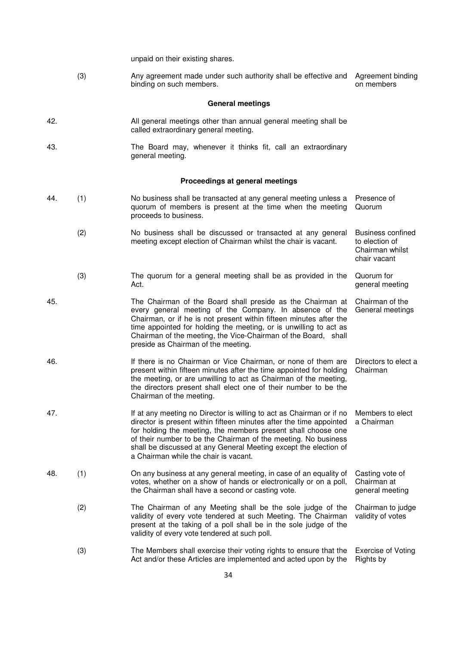unpaid on their existing shares.

 (3) Any agreement made under such authority shall be effective and binding on such members. Agreement binding on members

## **General meetings**

| 42. | All general meetings other than annual general meeting shall be |
|-----|-----------------------------------------------------------------|
|     | called extraordinary general meeting.                           |

43. The Board may, whenever it thinks fit, call an extraordinary general meeting.

# **Proceedings at general meetings**

| 44. | (1) | No business shall be transacted at any general meeting unless a<br>quorum of members is present at the time when the meeting<br>proceeds to business.                                                                                                                                                                                                                                       | Presence of<br>Quorum                                                  |
|-----|-----|---------------------------------------------------------------------------------------------------------------------------------------------------------------------------------------------------------------------------------------------------------------------------------------------------------------------------------------------------------------------------------------------|------------------------------------------------------------------------|
|     | (2) | No business shall be discussed or transacted at any general<br>meeting except election of Chairman whilst the chair is vacant.                                                                                                                                                                                                                                                              | Business confined<br>to election of<br>Chairman whilst<br>chair vacant |
|     | (3) | The quorum for a general meeting shall be as provided in the<br>Act.                                                                                                                                                                                                                                                                                                                        | Quorum for<br>general meeting                                          |
| 45. |     | The Chairman of the Board shall preside as the Chairman at<br>every general meeting of the Company. In absence of the<br>Chairman, or if he is not present within fifteen minutes after the<br>time appointed for holding the meeting, or is unwilling to act as<br>Chairman of the meeting, the Vice-Chairman of the Board, shall<br>preside as Chairman of the meeting.                   | Chairman of the<br>General meetings                                    |
| 46. |     | If there is no Chairman or Vice Chairman, or none of them are<br>present within fifteen minutes after the time appointed for holding<br>the meeting, or are unwilling to act as Chairman of the meeting,<br>the directors present shall elect one of their number to be the<br>Chairman of the meeting.                                                                                     | Directors to elect a<br>Chairman                                       |
| 47. |     | If at any meeting no Director is willing to act as Chairman or if no<br>director is present within fifteen minutes after the time appointed<br>for holding the meeting, the members present shall choose one<br>of their number to be the Chairman of the meeting. No business<br>shall be discussed at any General Meeting except the election of<br>a Chairman while the chair is vacant. | Members to elect<br>a Chairman                                         |
| 48. | (1) | On any business at any general meeting, in case of an equality of<br>votes, whether on a show of hands or electronically or on a poll,<br>the Chairman shall have a second or casting vote.                                                                                                                                                                                                 | Casting vote of<br>Chairman at<br>general meeting                      |
|     | (2) | The Chairman of any Meeting shall be the sole judge of the<br>validity of every vote tendered at such Meeting. The Chairman<br>present at the taking of a poll shall be in the sole judge of the<br>validity of every vote tendered at such poll.                                                                                                                                           | Chairman to judge<br>validity of votes                                 |
|     | (3) | The Members shall exercise their voting rights to ensure that the<br>Act and/or these Articles are implemented and acted upon by the                                                                                                                                                                                                                                                        | <b>Exercise of Voting</b><br>Rights by                                 |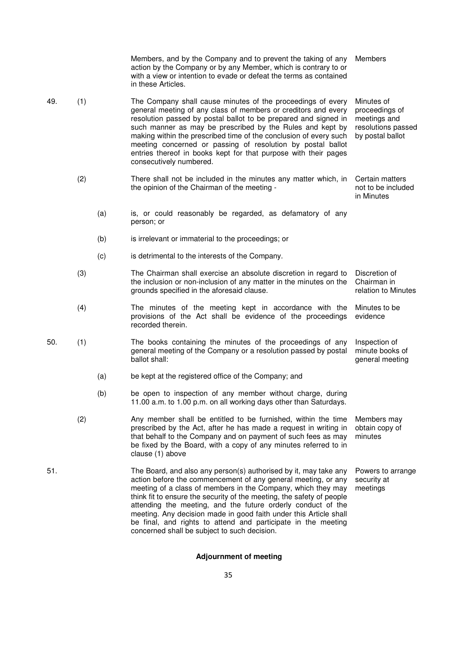|     |     |     | Members, and by the Company and to prevent the taking of any<br>action by the Company or by any Member, which is contrary to or<br>with a view or intention to evade or defeat the terms as contained<br>in these Articles.                                                                                                                                                                                                                                                                                                      | <b>Members</b>                                                                         |
|-----|-----|-----|----------------------------------------------------------------------------------------------------------------------------------------------------------------------------------------------------------------------------------------------------------------------------------------------------------------------------------------------------------------------------------------------------------------------------------------------------------------------------------------------------------------------------------|----------------------------------------------------------------------------------------|
| 49. | (1) |     | The Company shall cause minutes of the proceedings of every<br>general meeting of any class of members or creditors and every<br>resolution passed by postal ballot to be prepared and signed in<br>such manner as may be prescribed by the Rules and kept by<br>making within the prescribed time of the conclusion of every such<br>meeting concerned or passing of resolution by postal ballot<br>entries thereof in books kept for that purpose with their pages<br>consecutively numbered.                                  | Minutes of<br>proceedings of<br>meetings and<br>resolutions passed<br>by postal ballot |
|     | (2) |     | There shall not be included in the minutes any matter which, in<br>the opinion of the Chairman of the meeting -                                                                                                                                                                                                                                                                                                                                                                                                                  | Certain matters<br>not to be included<br>in Minutes                                    |
|     |     | (a) | is, or could reasonably be regarded, as defamatory of any<br>person; or                                                                                                                                                                                                                                                                                                                                                                                                                                                          |                                                                                        |
|     |     | (b) | is irrelevant or immaterial to the proceedings; or                                                                                                                                                                                                                                                                                                                                                                                                                                                                               |                                                                                        |
|     |     | (c) | is detrimental to the interests of the Company.                                                                                                                                                                                                                                                                                                                                                                                                                                                                                  |                                                                                        |
|     | (3) |     | The Chairman shall exercise an absolute discretion in regard to<br>the inclusion or non-inclusion of any matter in the minutes on the<br>grounds specified in the aforesaid clause.                                                                                                                                                                                                                                                                                                                                              | Discretion of<br>Chairman in<br>relation to Minutes                                    |
|     | (4) |     | The minutes of the meeting kept in accordance with the<br>provisions of the Act shall be evidence of the proceedings<br>recorded therein.                                                                                                                                                                                                                                                                                                                                                                                        | Minutes to be<br>evidence                                                              |
| 50. | (1) |     | The books containing the minutes of the proceedings of any<br>general meeting of the Company or a resolution passed by postal<br>ballot shall:                                                                                                                                                                                                                                                                                                                                                                                   | Inspection of<br>minute books of<br>general meeting                                    |
|     |     | (a) | be kept at the registered office of the Company; and                                                                                                                                                                                                                                                                                                                                                                                                                                                                             |                                                                                        |
|     |     | (b) | be open to inspection of any member without charge, during<br>11.00 a.m. to 1.00 p.m. on all working days other than Saturdays.                                                                                                                                                                                                                                                                                                                                                                                                  |                                                                                        |
|     | (2) |     | Any member shall be entitled to be furnished, within the time<br>prescribed by the Act, after he has made a request in writing in<br>that behalf to the Company and on payment of such fees as may<br>be fixed by the Board, with a copy of any minutes referred to in<br>clause (1) above                                                                                                                                                                                                                                       | Members may<br>obtain copy of<br>minutes                                               |
| 51. |     |     | The Board, and also any person(s) authorised by it, may take any<br>action before the commencement of any general meeting, or any<br>meeting of a class of members in the Company, which they may<br>think fit to ensure the security of the meeting, the safety of people<br>attending the meeting, and the future orderly conduct of the<br>meeting. Any decision made in good faith under this Article shall<br>be final, and rights to attend and participate in the meeting<br>concerned shall be subject to such decision. | Powers to arrange<br>security at<br>meetings                                           |

# **Adjournment of meeting**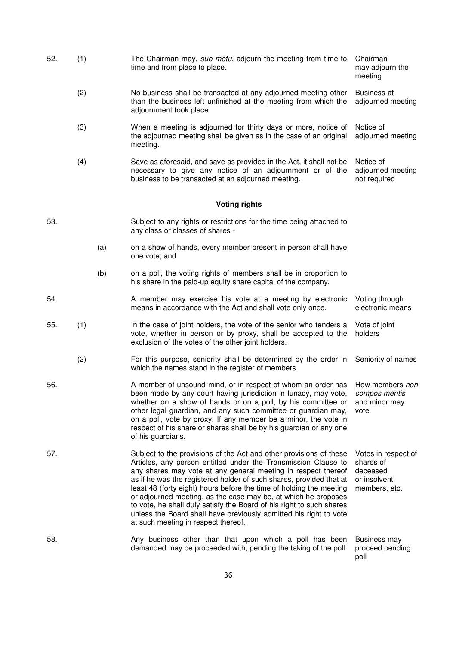- 52. (1) The Chairman may, suo motu, adjourn the meeting from time to time and from place to place. Chairman may adjourn the
	- (2) No business shall be transacted at any adjourned meeting other than the business left unfinished at the meeting from which the adjournment took place. Business at adjourned meeting
	- (3) When a meeting is adjourned for thirty days or more, notice of the adjourned meeting shall be given as in the case of an original meeting. Notice of adjourned meeting

meeting

 (4) Save as aforesaid, and save as provided in the Act, it shall not be necessary to give any notice of an adjournment or of the business to be transacted at an adjourned meeting. Notice of adjourned meeting not required

### **Voting rights**

- 53. Subject to any rights or restrictions for the time being attached to any class or classes of shares -
	- (a) on a show of hands, every member present in person shall have one vote; and
	- (b) on a poll, the voting rights of members shall be in proportion to his share in the paid-up equity share capital of the company.
- 54. A member may exercise his vote at a meeting by electronic means in accordance with the Act and shall vote only once. Voting through electronic means
- 55. (1) In the case of joint holders, the vote of the senior who tenders a vote, whether in person or by proxy, shall be accepted to the exclusion of the votes of the other joint holders. Vote of joint holders
	- (2) For this purpose, seniority shall be determined by the order in which the names stand in the register of members. Seniority of names
- 56. A member of unsound mind, or in respect of whom an order has been made by any court having jurisdiction in lunacy, may vote, whether on a show of hands or on a poll, by his committee or other legal guardian, and any such committee or guardian may, on a poll, vote by proxy. If any member be a minor, the vote in respect of his share or shares shall be by his guardian or any one of his guardians. How members non compos mentis and minor may vote
- 57. Subject to the provisions of the Act and other provisions of these Articles, any person entitled under the Transmission Clause to any shares may vote at any general meeting in respect thereof as if he was the registered holder of such shares, provided that at least 48 (forty eight) hours before the time of holding the meeting or adjourned meeting, as the case may be, at which he proposes to vote, he shall duly satisfy the Board of his right to such shares unless the Board shall have previously admitted his right to vote at such meeting in respect thereof. Votes in respect of shares of deceased or insolvent members, etc.
- 58. Any business other than that upon which a poll has been demanded may be proceeded with, pending the taking of the poll. Business may proceed pending poll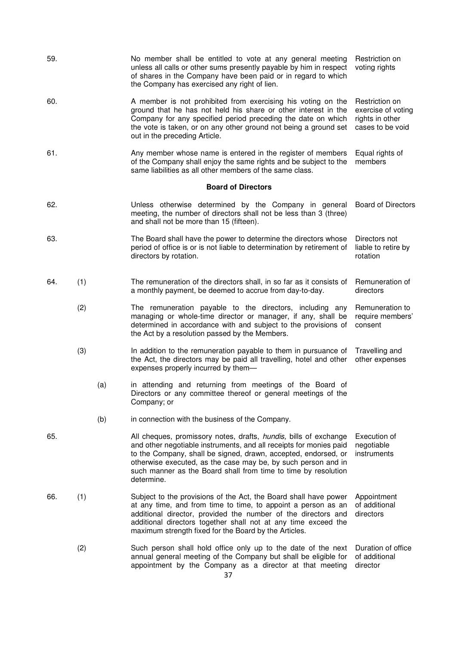| 59. |     |     | No member shall be entitled to vote at any general meeting<br>unless all calls or other sums presently payable by him in respect<br>of shares in the Company have been paid or in regard to which<br>the Company has exercised any right of lien.                                                                                                         | Restriction on<br>voting rights                                             |
|-----|-----|-----|-----------------------------------------------------------------------------------------------------------------------------------------------------------------------------------------------------------------------------------------------------------------------------------------------------------------------------------------------------------|-----------------------------------------------------------------------------|
| 60. |     |     | A member is not prohibited from exercising his voting on the<br>ground that he has not held his share or other interest in the<br>Company for any specified period preceding the date on which<br>the vote is taken, or on any other ground not being a ground set<br>out in the preceding Article.                                                       | Restriction on<br>exercise of voting<br>rights in other<br>cases to be void |
| 61. |     |     | Any member whose name is entered in the register of members<br>of the Company shall enjoy the same rights and be subject to the<br>same liabilities as all other members of the same class.                                                                                                                                                               | Equal rights of<br>members                                                  |
|     |     |     | <b>Board of Directors</b>                                                                                                                                                                                                                                                                                                                                 |                                                                             |
| 62. |     |     | Unless otherwise determined by the Company in general<br>meeting, the number of directors shall not be less than 3 (three)<br>and shall not be more than 15 (fifteen).                                                                                                                                                                                    | <b>Board of Directors</b>                                                   |
| 63. |     |     | The Board shall have the power to determine the directors whose<br>period of office is or is not liable to determination by retirement of<br>directors by rotation.                                                                                                                                                                                       | Directors not<br>liable to retire by<br>rotation                            |
| 64. | (1) |     | The remuneration of the directors shall, in so far as it consists of<br>a monthly payment, be deemed to accrue from day-to-day.                                                                                                                                                                                                                           | Remuneration of<br>directors                                                |
|     | (2) |     | The remuneration payable to the directors, including any<br>managing or whole-time director or manager, if any, shall be<br>determined in accordance with and subject to the provisions of<br>the Act by a resolution passed by the Members.                                                                                                              | Remuneration to<br>require members'<br>consent                              |
|     | (3) |     | In addition to the remuneration payable to them in pursuance of<br>the Act, the directors may be paid all travelling, hotel and other<br>expenses properly incurred by them-                                                                                                                                                                              | Travelling and<br>other expenses                                            |
|     |     | (a) | in attending and returning from meetings of the Board of<br>Directors or any committee thereof or general meetings of the<br>Company; or                                                                                                                                                                                                                  |                                                                             |
|     |     | (b) | in connection with the business of the Company.                                                                                                                                                                                                                                                                                                           |                                                                             |
| 65. |     |     | All cheques, promissory notes, drafts, hundis, bills of exchange<br>and other negotiable instruments, and all receipts for monies paid<br>to the Company, shall be signed, drawn, accepted, endorsed, or<br>otherwise executed, as the case may be, by such person and in<br>such manner as the Board shall from time to time by resolution<br>determine. | Execution of<br>negotiable<br>instruments                                   |
| 66. | (1) |     | Subject to the provisions of the Act, the Board shall have power<br>at any time, and from time to time, to appoint a person as an<br>additional director, provided the number of the directors and<br>additional directors together shall not at any time exceed the<br>maximum strength fixed for the Board by the Articles.                             | Appointment<br>of additional<br>directors                                   |
|     | (2) |     | Such person shall hold office only up to the date of the next<br>annual general meeting of the Company but shall be eligible for<br>appointment by the Company as a director at that meeting<br>37                                                                                                                                                        | Duration of office<br>of additional<br>director                             |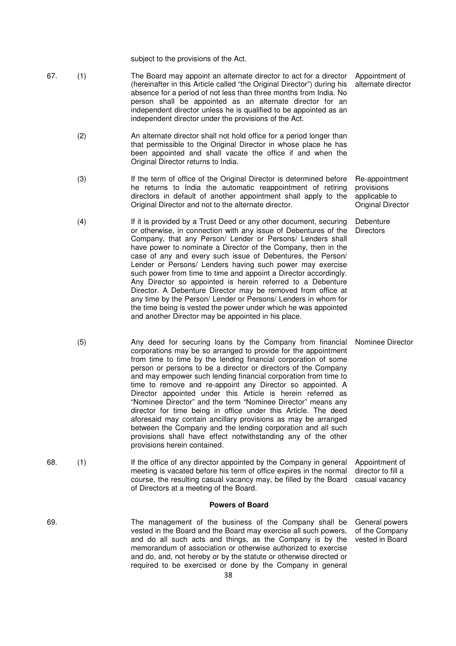subject to the provisions of the Act.

- 67. (1) The Board may appoint an alternate director to act for a director (hereinafter in this Article called "the Original Director") during his absence for a period of not less than three months from India. No person shall be appointed as an alternate director for an independent director unless he is qualified to be appointed as an independent director under the provisions of the Act. Appointment of alternate director
	- (2) An alternate director shall not hold office for a period longer than that permissible to the Original Director in whose place he has been appointed and shall vacate the office if and when the Original Director returns to India.
	- (3) If the term of office of the Original Director is determined before he returns to India the automatic reappointment of retiring directors in default of another appointment shall apply to the Original Director and not to the alternate director.
	- (4) If it is provided by a Trust Deed or any other document, securing or otherwise, in connection with any issue of Debentures of the Company, that any Person/ Lender or Persons/ Lenders shall have power to nominate a Director of the Company, then in the case of any and every such issue of Debentures, the Person/ Lender or Persons/ Lenders having such power may exercise such power from time to time and appoint a Director accordingly. Any Director so appointed is herein referred to a Debenture Director. A Debenture Director may be removed from office at any time by the Person/ Lender or Persons/ Lenders in whom for the time being is vested the power under which he was appointed and another Director may be appointed in his place.
	- (5) Any deed for securing loans by the Company from financial corporations may be so arranged to provide for the appointment from time to time by the lending financial corporation of some person or persons to be a director or directors of the Company and may empower such lending financial corporation from time to time to remove and re-appoint any Director so appointed. A Director appointed under this Article is herein referred as "Nominee Director" and the term "Nominee Director" means any director for time being in office under this Article. The deed aforesaid may contain ancillary provisions as may be arranged between the Company and the lending corporation and all such provisions shall have effect notwithstanding any of the other provisions herein contained.
- 68. (1) If the office of any director appointed by the Company in general meeting is vacated before his term of office expires in the normal course, the resulting casual vacancy may, be filled by the Board of Directors at a meeting of the Board. Appointment of director to fill a casual vacancy

### **Powers of Board**

69. The management of the business of the Company shall be vested in the Board and the Board may exercise all such powers, and do all such acts and things, as the Company is by the memorandum of association or otherwise authorized to exercise and do, and, not hereby or by the statute or otherwise directed or required to be exercised or done by the Company in general

Re-appointment provisions applicable to Original Director

**Debenture Directors** 

Nominee Director

General powers of the Company vested in Board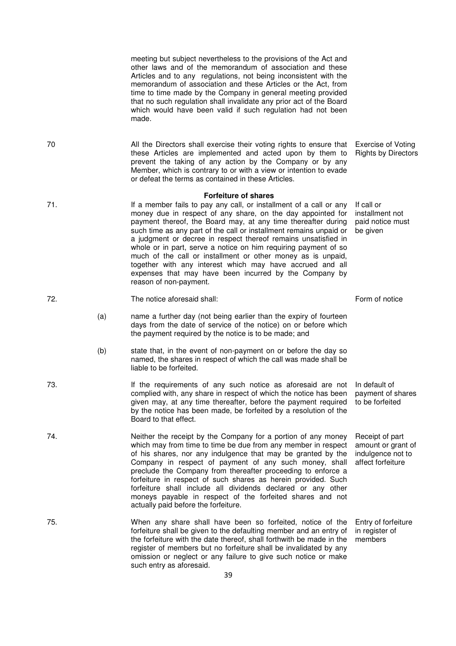meeting but subject nevertheless to the provisions of the Act and other laws and of the memorandum of association and these Articles and to any regulations, not being inconsistent with the memorandum of association and these Articles or the Act, from time to time made by the Company in general meeting provided that no such regulation shall invalidate any prior act of the Board which would have been valid if such regulation had not been made.

these Articles are implemented and acted upon by them to prevent the taking of any action by the Company or by any Member, which is contrary to or with a view or intention to evade

**Forfeiture of shares** 

money due in respect of any share, on the day appointed for payment thereof, the Board may, at any time thereafter during such time as any part of the call or installment remains unpaid or a judgment or decree in respect thereof remains unsatisfied in whole or in part, serve a notice on him requiring payment of so much of the call or installment or other money as is unpaid, together with any interest which may have accrued and all expenses that may have been incurred by the Company by

or defeat the terms as contained in these Articles.

71. If a member fails to pay any call, or installment of a call or any

70 All the Directors shall exercise their voting rights to ensure that

72. The notice aforesaid shall: The notice aforesaid shall: Form of notice

reason of non-payment.

- (a) name a further day (not being earlier than the expiry of fourteen days from the date of service of the notice) on or before which the payment required by the notice is to be made; and
- (b) state that, in the event of non-payment on or before the day so named, the shares in respect of which the call was made shall be liable to be forfeited.
- 73. If the requirements of any such notice as aforesaid are not complied with, any share in respect of which the notice has been given may, at any time thereafter, before the payment required by the notice has been made, be forfeited by a resolution of the Board to that effect.
- 74. Neither the receipt by the Company for a portion of any money which may from time to time be due from any member in respect of his shares, nor any indulgence that may be granted by the Company in respect of payment of any such money, shall preclude the Company from thereafter proceeding to enforce a forfeiture in respect of such shares as herein provided. Such forfeiture shall include all dividends declared or any other moneys payable in respect of the forfeited shares and not actually paid before the forfeiture.
- 75. When any share shall have been so forfeited, notice of the forfeiture shall be given to the defaulting member and an entry of the forfeiture with the date thereof, shall forthwith be made in the register of members but no forfeiture shall be invalidated by any omission or neglect or any failure to give such notice or make such entry as aforesaid.

Exercise of Voting Rights by Directors

If call or installment not paid notice must be given

In default of payment of shares to be forfeited

Receipt of part amount or grant of indulgence not to affect forfeiture

Entry of forfeiture in register of members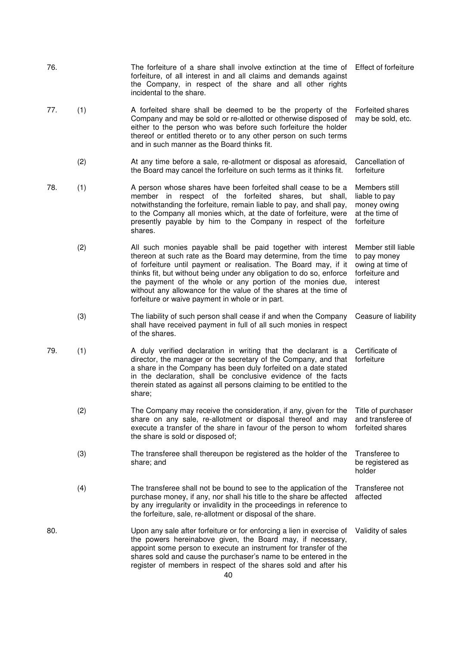| 76. |     | The forfeiture of a share shall involve extinction at the time of Effect of forfeiture<br>forfeiture, of all interest in and all claims and demands against<br>the Company, in respect of the share and all other rights<br>incidental to the share.                                                                                                                                                                                                             |                                                                                       |
|-----|-----|------------------------------------------------------------------------------------------------------------------------------------------------------------------------------------------------------------------------------------------------------------------------------------------------------------------------------------------------------------------------------------------------------------------------------------------------------------------|---------------------------------------------------------------------------------------|
| 77. | (1) | A forfeited share shall be deemed to be the property of the<br>Company and may be sold or re-allotted or otherwise disposed of<br>either to the person who was before such forfeiture the holder<br>thereof or entitled thereto or to any other person on such terms<br>and in such manner as the Board thinks fit.                                                                                                                                              | <b>Forfeited shares</b><br>may be sold, etc.                                          |
|     | (2) | At any time before a sale, re-allotment or disposal as aforesaid,<br>the Board may cancel the forfeiture on such terms as it thinks fit.                                                                                                                                                                                                                                                                                                                         | Cancellation of<br>forfeiture                                                         |
| 78. | (1) | A person whose shares have been forfeited shall cease to be a<br>member in respect of the forfeited shares, but shall,<br>notwithstanding the forfeiture, remain liable to pay, and shall pay,<br>to the Company all monies which, at the date of forfeiture, were<br>presently payable by him to the Company in respect of the<br>shares.                                                                                                                       | Members still<br>liable to pay<br>money owing<br>at the time of<br>forfeiture         |
|     | (2) | All such monies payable shall be paid together with interest<br>thereon at such rate as the Board may determine, from the time<br>of forfeiture until payment or realisation. The Board may, if it<br>thinks fit, but without being under any obligation to do so, enforce<br>the payment of the whole or any portion of the monies due,<br>without any allowance for the value of the shares at the time of<br>forfeiture or waive payment in whole or in part. | Member still liable<br>to pay money<br>owing at time of<br>forfeiture and<br>interest |
|     | (3) | The liability of such person shall cease if and when the Company<br>shall have received payment in full of all such monies in respect<br>of the shares.                                                                                                                                                                                                                                                                                                          | Ceasure of liability                                                                  |
| 79. | (1) | A duly verified declaration in writing that the declarant is a<br>director, the manager or the secretary of the Company, and that<br>a share in the Company has been duly forfeited on a date stated<br>in the declaration, shall be conclusive evidence of the facts<br>therein stated as against all persons claiming to be entitled to the<br>share;                                                                                                          | Certificate of<br>forfeiture                                                          |
|     | (2) | The Company may receive the consideration, if any, given for the<br>share on any sale, re-allotment or disposal thereof and may<br>execute a transfer of the share in favour of the person to whom<br>the share is sold or disposed of;                                                                                                                                                                                                                          | Title of purchaser<br>and transferee of<br>forfeited shares                           |
|     | (3) | The transferee shall thereupon be registered as the holder of the<br>share; and                                                                                                                                                                                                                                                                                                                                                                                  | Transferee to<br>be registered as<br>holder                                           |
|     | (4) | The transferee shall not be bound to see to the application of the<br>purchase money, if any, nor shall his title to the share be affected<br>by any irregularity or invalidity in the proceedings in reference to<br>the forfeiture, sale, re-allotment or disposal of the share.                                                                                                                                                                               | Transferee not<br>affected                                                            |
| 80. |     | Upon any sale after forfeiture or for enforcing a lien in exercise of<br>the powers hereinabove given, the Board may, if necessary,<br>appoint some person to execute an instrument for transfer of the<br>shares sold and cause the purchaser's name to be entered in the<br>register of members in respect of the shares sold and after his<br>40                                                                                                              | Validity of sales                                                                     |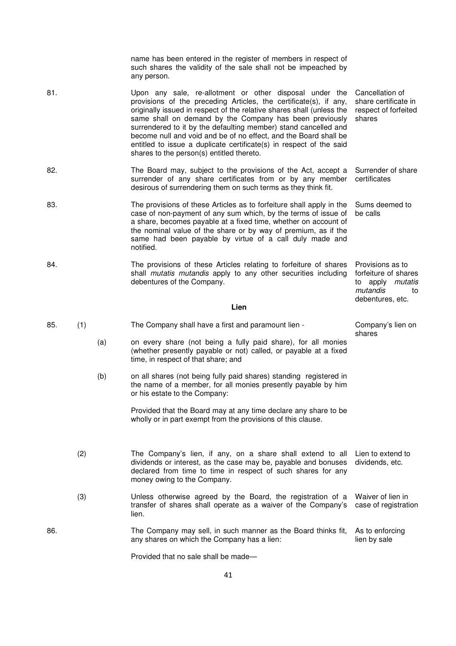|     |     |     | name has been entered in the register of members in respect of<br>such shares the validity of the sale shall not be impeached by<br>any person.                                                                                                                                                                                                                                                                                                                                                                             |                                                                                                           |
|-----|-----|-----|-----------------------------------------------------------------------------------------------------------------------------------------------------------------------------------------------------------------------------------------------------------------------------------------------------------------------------------------------------------------------------------------------------------------------------------------------------------------------------------------------------------------------------|-----------------------------------------------------------------------------------------------------------|
| 81. |     |     | Upon any sale, re-allotment or other disposal under the<br>provisions of the preceding Articles, the certificate(s), if any,<br>originally issued in respect of the relative shares shall (unless the<br>same shall on demand by the Company has been previously<br>surrendered to it by the defaulting member) stand cancelled and<br>become null and void and be of no effect, and the Board shall be<br>entitled to issue a duplicate certificate(s) in respect of the said<br>shares to the person(s) entitled thereto. | Cancellation of<br>share certificate in<br>respect of forfeited<br>shares                                 |
| 82. |     |     | The Board may, subject to the provisions of the Act, accept a<br>surrender of any share certificates from or by any member<br>desirous of surrendering them on such terms as they think fit.                                                                                                                                                                                                                                                                                                                                | Surrender of share<br>certificates                                                                        |
| 83. |     |     | The provisions of these Articles as to forfeiture shall apply in the<br>case of non-payment of any sum which, by the terms of issue of<br>a share, becomes payable at a fixed time, whether on account of<br>the nominal value of the share or by way of premium, as if the<br>same had been payable by virtue of a call duly made and<br>notified.                                                                                                                                                                         | Sums deemed to<br>be calls                                                                                |
| 84. |     |     | The provisions of these Articles relating to forfeiture of shares<br>shall <i>mutatis mutandis</i> apply to any other securities including<br>debentures of the Company.<br>Lien                                                                                                                                                                                                                                                                                                                                            | Provisions as to<br>forfeiture of shares<br>to apply <i>mutatis</i><br>mutandis<br>to<br>debentures, etc. |
|     |     |     |                                                                                                                                                                                                                                                                                                                                                                                                                                                                                                                             |                                                                                                           |
| 85. | (1) |     | The Company shall have a first and paramount lien -                                                                                                                                                                                                                                                                                                                                                                                                                                                                         | Company's lien on<br>shares                                                                               |
|     |     | (a) | on every share (not being a fully paid share), for all monies<br>(whether presently payable or not) called, or payable at a fixed<br>time, in respect of that share; and                                                                                                                                                                                                                                                                                                                                                    |                                                                                                           |
|     |     | (b) | on all shares (not being fully paid shares) standing registered in<br>the name of a member, for all monies presently payable by him<br>or his estate to the Company:                                                                                                                                                                                                                                                                                                                                                        |                                                                                                           |
|     |     |     | Provided that the Board may at any time declare any share to be<br>wholly or in part exempt from the provisions of this clause.                                                                                                                                                                                                                                                                                                                                                                                             |                                                                                                           |
|     | (2) |     | The Company's lien, if any, on a share shall extend to all<br>dividends or interest, as the case may be, payable and bonuses<br>declared from time to time in respect of such shares for any<br>money owing to the Company.                                                                                                                                                                                                                                                                                                 | Lien to extend to<br>dividends, etc.                                                                      |
|     | (3) |     | Unless otherwise agreed by the Board, the registration of a<br>transfer of shares shall operate as a waiver of the Company's<br>lien.                                                                                                                                                                                                                                                                                                                                                                                       | Waiver of lien in<br>case of registration                                                                 |
| 86. |     |     | The Company may sell, in such manner as the Board thinks fit,<br>any shares on which the Company has a lien:                                                                                                                                                                                                                                                                                                                                                                                                                | As to enforcing<br>lien by sale                                                                           |
|     |     |     | Provided that no sale shall be made-                                                                                                                                                                                                                                                                                                                                                                                                                                                                                        |                                                                                                           |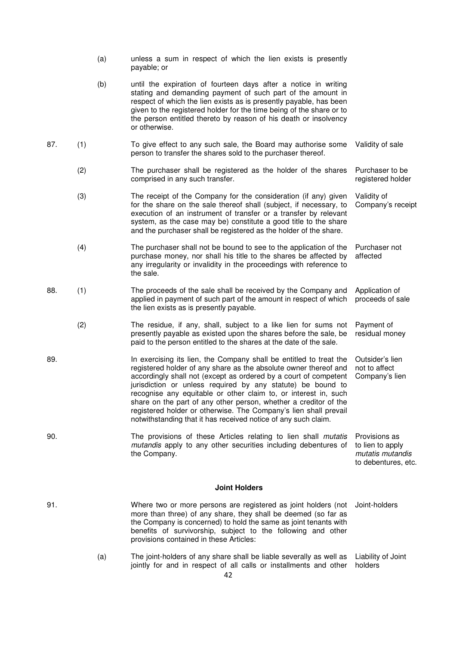|     | (a) | unless a sum in respect of which the lien exists is presently<br>payable; or                                                                                                                                                                                                                                                                                                                                                                                                                                                                           |                                                                              |
|-----|-----|--------------------------------------------------------------------------------------------------------------------------------------------------------------------------------------------------------------------------------------------------------------------------------------------------------------------------------------------------------------------------------------------------------------------------------------------------------------------------------------------------------------------------------------------------------|------------------------------------------------------------------------------|
|     | (b) | until the expiration of fourteen days after a notice in writing<br>stating and demanding payment of such part of the amount in<br>respect of which the lien exists as is presently payable, has been<br>given to the registered holder for the time being of the share or to<br>the person entitled thereto by reason of his death or insolvency<br>or otherwise.                                                                                                                                                                                      |                                                                              |
| 87. | (1) | To give effect to any such sale, the Board may authorise some<br>person to transfer the shares sold to the purchaser thereof.                                                                                                                                                                                                                                                                                                                                                                                                                          | Validity of sale                                                             |
|     | (2) | The purchaser shall be registered as the holder of the shares<br>comprised in any such transfer.                                                                                                                                                                                                                                                                                                                                                                                                                                                       | Purchaser to be<br>registered holder                                         |
|     | (3) | The receipt of the Company for the consideration (if any) given<br>for the share on the sale thereof shall (subject, if necessary, to<br>execution of an instrument of transfer or a transfer by relevant<br>system, as the case may be) constitute a good title to the share<br>and the purchaser shall be registered as the holder of the share.                                                                                                                                                                                                     | Validity of<br>Company's receipt                                             |
|     | (4) | The purchaser shall not be bound to see to the application of the<br>purchase money, nor shall his title to the shares be affected by<br>any irregularity or invalidity in the proceedings with reference to<br>the sale.                                                                                                                                                                                                                                                                                                                              | Purchaser not<br>affected                                                    |
| 88. | (1) | The proceeds of the sale shall be received by the Company and<br>applied in payment of such part of the amount in respect of which<br>the lien exists as is presently payable.                                                                                                                                                                                                                                                                                                                                                                         | Application of<br>proceeds of sale                                           |
|     | (2) | The residue, if any, shall, subject to a like lien for sums not<br>presently payable as existed upon the shares before the sale, be<br>paid to the person entitled to the shares at the date of the sale.                                                                                                                                                                                                                                                                                                                                              | Payment of<br>residual money                                                 |
| 89. |     | In exercising its lien, the Company shall be entitled to treat the<br>registered holder of any share as the absolute owner thereof and<br>accordingly shall not (except as ordered by a court of competent<br>jurisdiction or unless required by any statute) be bound to<br>recognise any equitable or other claim to, or interest in, such<br>share on the part of any other person, whether a creditor of the<br>registered holder or otherwise. The Company's lien shall prevail<br>notwithstanding that it has received notice of any such claim. | Outsider's lien<br>not to affect<br>Company's lien                           |
| 90. |     | The provisions of these Articles relating to lien shall <i>mutatis</i><br>mutandis apply to any other securities including debentures of<br>the Company.                                                                                                                                                                                                                                                                                                                                                                                               | Provisions as<br>to lien to apply<br>mutatis mutandis<br>to debentures, etc. |
|     |     | <b>Joint Holders</b>                                                                                                                                                                                                                                                                                                                                                                                                                                                                                                                                   |                                                                              |
| 91. |     | Where two or more persons are registered as joint holders (not<br>more than three) of any share, they shall be deemed (so far as<br>the Company is concerned) to hold the same as joint tenants with<br>benefits of survivorship, subject to the following and other<br>provisions contained in these Articles:                                                                                                                                                                                                                                        | Joint-holders                                                                |

 (a) The joint-holders of any share shall be liable severally as well as jointly for and in respect of all calls or installments and other Liability of Joint holders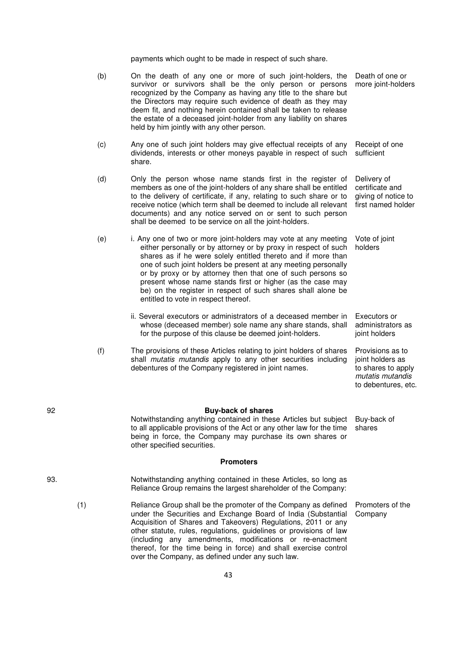payments which ought to be made in respect of such share.

|     | (b) | On the death of any one or more of such joint-holders, the<br>survivor or survivors shall be the only person or persons<br>recognized by the Company as having any title to the share but<br>the Directors may require such evidence of death as they may<br>deem fit, and nothing herein contained shall be taken to release<br>the estate of a deceased joint-holder from any liability on shares<br>held by him jointly with any other person.                                                          | Death of one or<br>more joint-holders                                                                 |
|-----|-----|------------------------------------------------------------------------------------------------------------------------------------------------------------------------------------------------------------------------------------------------------------------------------------------------------------------------------------------------------------------------------------------------------------------------------------------------------------------------------------------------------------|-------------------------------------------------------------------------------------------------------|
|     | (c) | Any one of such joint holders may give effectual receipts of any<br>dividends, interests or other moneys payable in respect of such<br>share.                                                                                                                                                                                                                                                                                                                                                              | Receipt of one<br>sufficient                                                                          |
|     | (d) | Only the person whose name stands first in the register of<br>members as one of the joint-holders of any share shall be entitled<br>to the delivery of certificate, if any, relating to such share or to<br>receive notice (which term shall be deemed to include all relevant<br>documents) and any notice served on or sent to such person<br>shall be deemed to be service on all the joint-holders.                                                                                                    | Delivery of<br>certificate and<br>giving of notice to<br>first named holder                           |
|     | (e) | i. Any one of two or more joint-holders may vote at any meeting<br>either personally or by attorney or by proxy in respect of such<br>shares as if he were solely entitled thereto and if more than<br>one of such joint holders be present at any meeting personally<br>or by proxy or by attorney then that one of such persons so<br>present whose name stands first or higher (as the case may<br>be) on the register in respect of such shares shall alone be<br>entitled to vote in respect thereof. | Vote of joint<br>holders                                                                              |
|     |     | ii. Several executors or administrators of a deceased member in<br>whose (deceased member) sole name any share stands, shall<br>for the purpose of this clause be deemed joint-holders.                                                                                                                                                                                                                                                                                                                    | Executors or<br>administrators as<br>joint holders                                                    |
|     | (f) | The provisions of these Articles relating to joint holders of shares<br>shall mutatis mutandis apply to any other securities including<br>debentures of the Company registered in joint names.                                                                                                                                                                                                                                                                                                             | Provisions as to<br>joint holders as<br>to shares to apply<br>mutatis mutandis<br>to debentures, etc. |
| 92  |     | <b>Buy-back of shares</b><br>Notwithstanding anything contained in these Articles but subject<br>to all applicable provisions of the Act or any other law for the time<br>being in force, the Company may purchase its own shares or<br>other specified securities.                                                                                                                                                                                                                                        | Buy-back of<br>shares                                                                                 |
|     |     | <b>Promoters</b>                                                                                                                                                                                                                                                                                                                                                                                                                                                                                           |                                                                                                       |
| 93. |     | Notwithstanding anything contained in these Articles, so long as<br>Reliance Group remains the largest shareholder of the Company:                                                                                                                                                                                                                                                                                                                                                                         |                                                                                                       |
|     | (1) | Reliance Group shall be the promoter of the Company as defined<br>under the Securities and Exchange Board of India (Substantial<br>Acquisition of Shares and Takeovers) Regulations, 2011 or any<br>other statute, rules, regulations, guidelines or provisions of law<br>(including any amendments, modifications or re-enactment<br>thereof, for the time being in force) and shall exercise control<br>over the Company, as defined under any such law.                                                 | Promoters of the<br>Company                                                                           |

92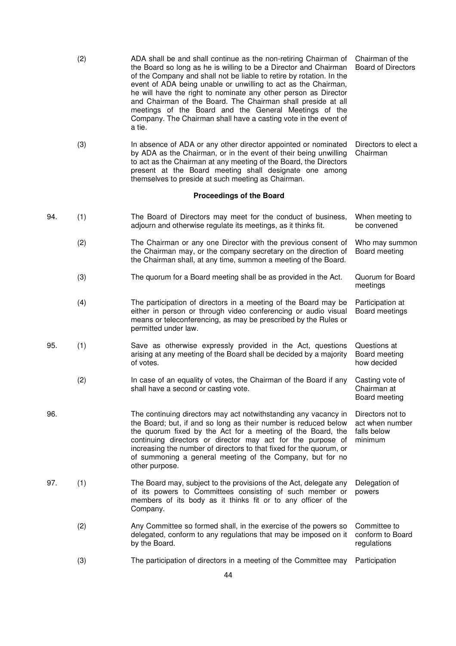|     | (2) | ADA shall be and shall continue as the non-retiring Chairman of<br>the Board so long as he is willing to be a Director and Chairman<br>of the Company and shall not be liable to retire by rotation. In the<br>event of ADA being unable or unwilling to act as the Chairman,<br>he will have the right to nominate any other person as Director<br>and Chairman of the Board. The Chairman shall preside at all<br>meetings of the Board and the General Meetings of the<br>Company. The Chairman shall have a casting vote in the event of<br>a tie. | Chairman of the<br><b>Board of Directors</b>                  |
|-----|-----|--------------------------------------------------------------------------------------------------------------------------------------------------------------------------------------------------------------------------------------------------------------------------------------------------------------------------------------------------------------------------------------------------------------------------------------------------------------------------------------------------------------------------------------------------------|---------------------------------------------------------------|
|     | (3) | In absence of ADA or any other director appointed or nominated<br>by ADA as the Chairman, or in the event of their being unwilling<br>to act as the Chairman at any meeting of the Board, the Directors<br>present at the Board meeting shall designate one among<br>themselves to preside at such meeting as Chairman.                                                                                                                                                                                                                                | Directors to elect a<br>Chairman                              |
|     |     | <b>Proceedings of the Board</b>                                                                                                                                                                                                                                                                                                                                                                                                                                                                                                                        |                                                               |
| 94. | (1) | The Board of Directors may meet for the conduct of business,<br>adjourn and otherwise regulate its meetings, as it thinks fit.                                                                                                                                                                                                                                                                                                                                                                                                                         | When meeting to<br>be convened                                |
|     | (2) | The Chairman or any one Director with the previous consent of<br>the Chairman may, or the company secretary on the direction of<br>the Chairman shall, at any time, summon a meeting of the Board.                                                                                                                                                                                                                                                                                                                                                     | Who may summon<br>Board meeting                               |
|     | (3) | The quorum for a Board meeting shall be as provided in the Act.                                                                                                                                                                                                                                                                                                                                                                                                                                                                                        | Quorum for Board<br>meetings                                  |
|     | (4) | The participation of directors in a meeting of the Board may be<br>either in person or through video conferencing or audio visual<br>means or teleconferencing, as may be prescribed by the Rules or<br>permitted under law.                                                                                                                                                                                                                                                                                                                           | Participation at<br>Board meetings                            |
| 95. | (1) | Save as otherwise expressly provided in the Act, questions<br>arising at any meeting of the Board shall be decided by a majority<br>of votes.                                                                                                                                                                                                                                                                                                                                                                                                          | Questions at<br>Board meeting<br>how decided                  |
|     | (2) | In case of an equality of votes, the Chairman of the Board if any<br>shall have a second or casting vote.                                                                                                                                                                                                                                                                                                                                                                                                                                              | Casting vote of<br>Chairman at<br>Board meeting               |
| 96. |     | The continuing directors may act notwithstanding any vacancy in<br>the Board; but, if and so long as their number is reduced below<br>the quorum fixed by the Act for a meeting of the Board, the<br>continuing directors or director may act for the purpose of<br>increasing the number of directors to that fixed for the quorum, or<br>of summoning a general meeting of the Company, but for no<br>other purpose.                                                                                                                                 | Directors not to<br>act when number<br>falls below<br>minimum |
| 97. | (1) | The Board may, subject to the provisions of the Act, delegate any<br>of its powers to Committees consisting of such member or<br>members of its body as it thinks fit or to any officer of the<br>Company.                                                                                                                                                                                                                                                                                                                                             | Delegation of<br>powers                                       |
|     | (2) | Any Committee so formed shall, in the exercise of the powers so<br>delegated, conform to any regulations that may be imposed on it<br>by the Board.                                                                                                                                                                                                                                                                                                                                                                                                    | Committee to<br>conform to Board<br>regulations               |
|     | (3) | The participation of directors in a meeting of the Committee may                                                                                                                                                                                                                                                                                                                                                                                                                                                                                       | Participation                                                 |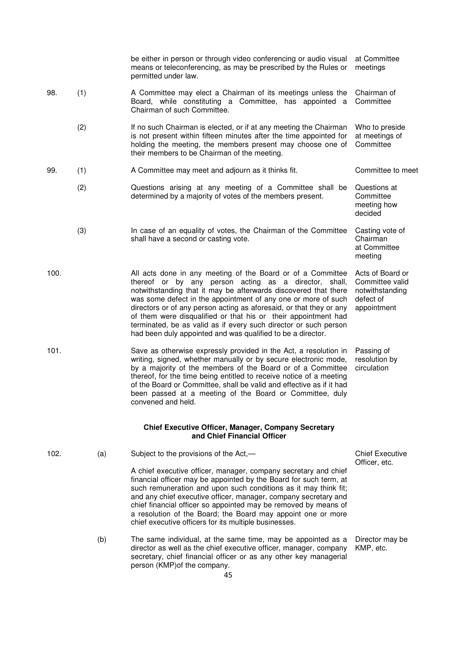|      |     | be either in person or through video conferencing or audio visual<br>means or teleconferencing, as may be prescribed by the Rules or<br>permitted under law.                                                                                                                                                                                                                                                                                                                                                                         | at Committee<br>meetings                                                           |
|------|-----|--------------------------------------------------------------------------------------------------------------------------------------------------------------------------------------------------------------------------------------------------------------------------------------------------------------------------------------------------------------------------------------------------------------------------------------------------------------------------------------------------------------------------------------|------------------------------------------------------------------------------------|
| 98.  | (1) | A Committee may elect a Chairman of its meetings unless the<br>Board, while constituting a Committee, has appointed a<br>Chairman of such Committee.                                                                                                                                                                                                                                                                                                                                                                                 | Chairman of<br>Committee                                                           |
|      | (2) | If no such Chairman is elected, or if at any meeting the Chairman<br>is not present within fifteen minutes after the time appointed for<br>holding the meeting, the members present may choose one of<br>their members to be Chairman of the meeting.                                                                                                                                                                                                                                                                                | Who to preside<br>at meetings of<br>Committee                                      |
| 99.  | (1) | A Committee may meet and adjourn as it thinks fit.                                                                                                                                                                                                                                                                                                                                                                                                                                                                                   | Committee to meet                                                                  |
|      | (2) | Questions arising at any meeting of a Committee shall be<br>determined by a majority of votes of the members present.                                                                                                                                                                                                                                                                                                                                                                                                                | Questions at<br>Committee<br>meeting how<br>decided                                |
|      | (3) | In case of an equality of votes, the Chairman of the Committee<br>shall have a second or casting vote.                                                                                                                                                                                                                                                                                                                                                                                                                               | Casting vote of<br>Chairman<br>at Committee<br>meeting                             |
| 100. |     | All acts done in any meeting of the Board or of a Committee<br>thereof or by any person acting as a director, shall,<br>notwithstanding that it may be afterwards discovered that there<br>was some defect in the appointment of any one or more of such<br>directors or of any person acting as aforesaid, or that they or any<br>of them were disqualified or that his or their appointment had<br>terminated, be as valid as if every such director or such person<br>had been duly appointed and was qualified to be a director. | Acts of Board or<br>Committee valid<br>notwithstanding<br>defect of<br>appointment |
| 101. |     | Save as otherwise expressly provided in the Act, a resolution in<br>writing, signed, whether manually or by secure electronic mode,<br>by a majority of the members of the Board or of a Committee<br>thereof, for the time being entitled to receive notice of a meeting<br>of the Board or Committee, shall be valid and effective as if it had<br>been passed at a meeting of the Board or Committee, duly<br>convened and held.                                                                                                  | Passing of<br>resolution by<br>circulation                                         |
|      |     | <b>Chief Executive Officer, Manager, Company Secretary</b><br>and Chief Financial Officer                                                                                                                                                                                                                                                                                                                                                                                                                                            |                                                                                    |
| 102. | (a) | Subject to the provisions of the Act,-                                                                                                                                                                                                                                                                                                                                                                                                                                                                                               | <b>Chief Executive</b><br>Officer, etc.                                            |
|      |     | A chief executive officer, manager, company secretary and chief<br>financial officer may be appointed by the Board for such term, at<br>such remuneration and upon such conditions as it may think fit;<br>and any chief executive officer, manager, company secretary and<br>chief financial officer so appointed may be removed by means of<br>a resolution of the Board; the Board may appoint one or more<br>chief executive officers for its multiple businesses.                                                               |                                                                                    |
|      | (b) | The same individual, at the same time, may be appointed as a<br>director as well as the chief executive officer, manager, company<br>secretary, chief financial officer or as any other key managerial<br>person (KMP) of the company.                                                                                                                                                                                                                                                                                               | Director may be<br>KMP, etc.                                                       |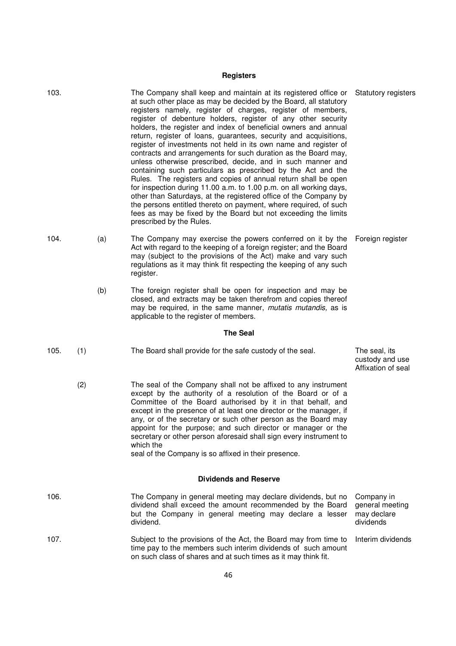# **Registers**

| 103. |     | The Company shall keep and maintain at its registered office or<br>at such other place as may be decided by the Board, all statutory<br>registers namely, register of charges, register of members,<br>register of debenture holders, register of any other security<br>holders, the register and index of beneficial owners and annual<br>return, register of loans, guarantees, security and acquisitions,<br>register of investments not held in its own name and register of<br>contracts and arrangements for such duration as the Board may,<br>unless otherwise prescribed, decide, and in such manner and<br>containing such particulars as prescribed by the Act and the<br>Rules. The registers and copies of annual return shall be open<br>for inspection during 11.00 a.m. to 1.00 p.m. on all working days,<br>other than Saturdays, at the registered office of the Company by<br>the persons entitled thereto on payment, where required, of such<br>fees as may be fixed by the Board but not exceeding the limits<br>prescribed by the Rules. | <b>Statutory registers</b>                                |
|------|-----|-----------------------------------------------------------------------------------------------------------------------------------------------------------------------------------------------------------------------------------------------------------------------------------------------------------------------------------------------------------------------------------------------------------------------------------------------------------------------------------------------------------------------------------------------------------------------------------------------------------------------------------------------------------------------------------------------------------------------------------------------------------------------------------------------------------------------------------------------------------------------------------------------------------------------------------------------------------------------------------------------------------------------------------------------------------------|-----------------------------------------------------------|
| 104. | (a) | The Company may exercise the powers conferred on it by the<br>Act with regard to the keeping of a foreign register; and the Board<br>may (subject to the provisions of the Act) make and vary such<br>regulations as it may think fit respecting the keeping of any such<br>register.                                                                                                                                                                                                                                                                                                                                                                                                                                                                                                                                                                                                                                                                                                                                                                           | Foreign register                                          |
|      | (b) | The foreign register shall be open for inspection and may be<br>closed, and extracts may be taken therefrom and copies thereof<br>may be required, in the same manner, <i>mutatis mutandis</i> , as is<br>applicable to the register of members.                                                                                                                                                                                                                                                                                                                                                                                                                                                                                                                                                                                                                                                                                                                                                                                                                |                                                           |
|      |     | <b>The Seal</b>                                                                                                                                                                                                                                                                                                                                                                                                                                                                                                                                                                                                                                                                                                                                                                                                                                                                                                                                                                                                                                                 |                                                           |
|      |     |                                                                                                                                                                                                                                                                                                                                                                                                                                                                                                                                                                                                                                                                                                                                                                                                                                                                                                                                                                                                                                                                 |                                                           |
| 105. | (1) | The Board shall provide for the safe custody of the seal.                                                                                                                                                                                                                                                                                                                                                                                                                                                                                                                                                                                                                                                                                                                                                                                                                                                                                                                                                                                                       | The seal, its<br>custody and use<br>Affixation of seal    |
|      | (2) | The seal of the Company shall not be affixed to any instrument<br>except by the authority of a resolution of the Board or of a<br>Committee of the Board authorised by it in that behalf, and<br>except in the presence of at least one director or the manager, if<br>any, or of the secretary or such other person as the Board may<br>appoint for the purpose; and such director or manager or the<br>secretary or other person aforesaid shall sign every instrument to<br>which the<br>seal of the Company is so affixed in their presence.                                                                                                                                                                                                                                                                                                                                                                                                                                                                                                                |                                                           |
|      |     | <b>Dividends and Reserve</b>                                                                                                                                                                                                                                                                                                                                                                                                                                                                                                                                                                                                                                                                                                                                                                                                                                                                                                                                                                                                                                    |                                                           |
| 106. |     | The Company in general meeting may declare dividends, but no<br>dividend shall exceed the amount recommended by the Board<br>but the Company in general meeting may declare a lesser<br>dividend.                                                                                                                                                                                                                                                                                                                                                                                                                                                                                                                                                                                                                                                                                                                                                                                                                                                               | Company in<br>general meeting<br>may declare<br>dividends |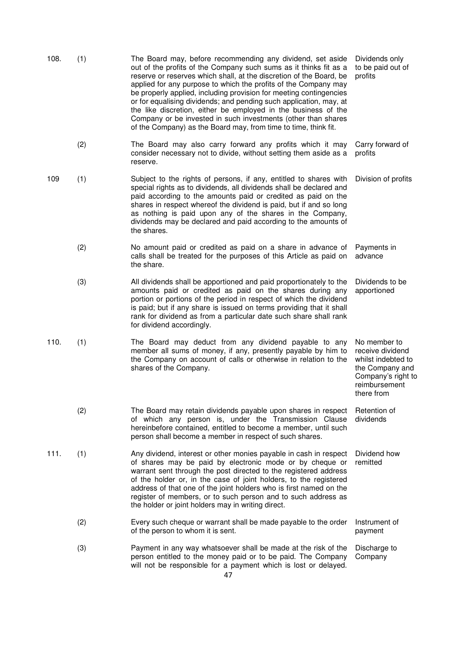| 108. | (1) | The Board may, before recommending any dividend, set aside<br>out of the profits of the Company such sums as it thinks fit as a<br>reserve or reserves which shall, at the discretion of the Board, be<br>applied for any purpose to which the profits of the Company may<br>be properly applied, including provision for meeting contingencies<br>or for equalising dividends; and pending such application, may, at<br>the like discretion, either be employed in the business of the<br>Company or be invested in such investments (other than shares<br>of the Company) as the Board may, from time to time, think fit. | Dividends only<br>to be paid out of<br>profits                                                                                 |
|------|-----|-----------------------------------------------------------------------------------------------------------------------------------------------------------------------------------------------------------------------------------------------------------------------------------------------------------------------------------------------------------------------------------------------------------------------------------------------------------------------------------------------------------------------------------------------------------------------------------------------------------------------------|--------------------------------------------------------------------------------------------------------------------------------|
|      | (2) | The Board may also carry forward any profits which it may<br>consider necessary not to divide, without setting them aside as a<br>reserve.                                                                                                                                                                                                                                                                                                                                                                                                                                                                                  | Carry forward of<br>profits                                                                                                    |
| 109  | (1) | Subject to the rights of persons, if any, entitled to shares with<br>special rights as to dividends, all dividends shall be declared and<br>paid according to the amounts paid or credited as paid on the<br>shares in respect whereof the dividend is paid, but if and so long<br>as nothing is paid upon any of the shares in the Company,<br>dividends may be declared and paid according to the amounts of<br>the shares.                                                                                                                                                                                               | Division of profits                                                                                                            |
|      | (2) | No amount paid or credited as paid on a share in advance of<br>calls shall be treated for the purposes of this Article as paid on<br>the share.                                                                                                                                                                                                                                                                                                                                                                                                                                                                             | Payments in<br>advance                                                                                                         |
|      | (3) | All dividends shall be apportioned and paid proportionately to the<br>amounts paid or credited as paid on the shares during any<br>portion or portions of the period in respect of which the dividend<br>is paid; but if any share is issued on terms providing that it shall<br>rank for dividend as from a particular date such share shall rank<br>for dividend accordingly.                                                                                                                                                                                                                                             | Dividends to be<br>apportioned                                                                                                 |
| 110. | (1) | The Board may deduct from any dividend payable to any<br>member all sums of money, if any, presently payable by him to<br>the Company on account of calls or otherwise in relation to the<br>shares of the Company.                                                                                                                                                                                                                                                                                                                                                                                                         | No member to<br>receive dividend<br>whilst indebted to<br>the Company and<br>Company's right to<br>reimbursement<br>there from |
|      | (2) | The Board may retain dividends payable upon shares in respect<br>of which any person is, under the Transmission Clause<br>hereinbefore contained, entitled to become a member, until such<br>person shall become a member in respect of such shares.                                                                                                                                                                                                                                                                                                                                                                        | Retention of<br>dividends                                                                                                      |
| 111. | (1) | Any dividend, interest or other monies payable in cash in respect<br>of shares may be paid by electronic mode or by cheque or<br>warrant sent through the post directed to the registered address<br>of the holder or, in the case of joint holders, to the registered<br>address of that one of the joint holders who is first named on the<br>register of members, or to such person and to such address as<br>the holder or joint holders may in writing direct.                                                                                                                                                         | Dividend how<br>remitted                                                                                                       |
|      | (2) | Every such cheque or warrant shall be made payable to the order<br>of the person to whom it is sent.                                                                                                                                                                                                                                                                                                                                                                                                                                                                                                                        | Instrument of<br>payment                                                                                                       |
|      | (3) | Payment in any way whatsoever shall be made at the risk of the<br>person entitled to the money paid or to be paid. The Company<br>will not be responsible for a payment which is lost or delayed.                                                                                                                                                                                                                                                                                                                                                                                                                           | Discharge to<br>Company                                                                                                        |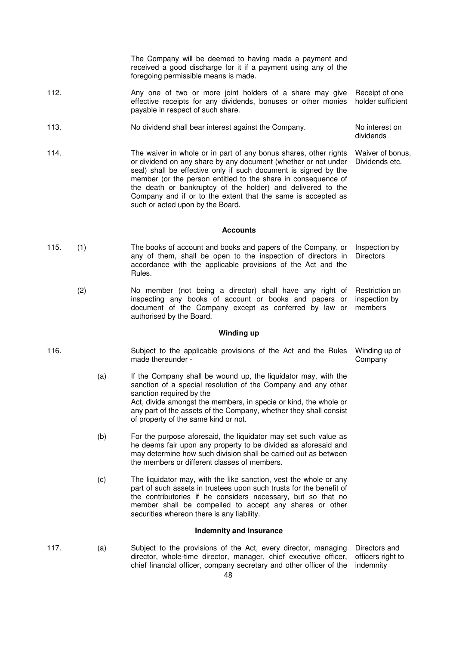The Company will be deemed to having made a payment and received a good discharge for it if a payment using any of the foregoing permissible means is made.

- 112. Any one of two or more joint holders of a share may give effective receipts for any dividends, bonuses or other monies payable in respect of such share. Receipt of one holder sufficient
- 113. No dividend shall bear interest against the Company. No interest on dividends
- 114. The waiver in whole or in part of any bonus shares, other rights or dividend on any share by any document (whether or not under seal) shall be effective only if such document is signed by the member (or the person entitled to the share in consequence of the death or bankruptcy of the holder) and delivered to the Company and if or to the extent that the same is accepted as such or acted upon by the Board. Waiver of bonus, Dividends etc.

### **Accounts**

- 115. (1) The books of account and books and papers of the Company, or any of them, shall be open to the inspection of directors in accordance with the applicable provisions of the Act and the Rules. Inspection by **Directors** 
	- (2) No member (not being a director) shall have any right of inspecting any books of account or books and papers or document of the Company except as conferred by law or authorised by the Board. Restriction on inspection by members

### **Winding up**

116. Subject to the applicable provisions of the Act and the Rules made thereunder - Winding up of Company

- (a) If the Company shall be wound up, the liquidator may, with the sanction of a special resolution of the Company and any other sanction required by the Act, divide amongst the members, in specie or kind, the whole or any part of the assets of the Company, whether they shall consist of property of the same kind or not.
- (b) For the purpose aforesaid, the liquidator may set such value as he deems fair upon any property to be divided as aforesaid and may determine how such division shall be carried out as between the members or different classes of members.
- (c) The liquidator may, with the like sanction, vest the whole or any part of such assets in trustees upon such trusts for the benefit of the contributories if he considers necessary, but so that no member shall be compelled to accept any shares or other securities whereon there is any liability.

### **Indemnity and Insurance**

- 
- 117. (a) Subject to the provisions of the Act, every director, managing director, whole-time director, manager, chief executive officer, chief financial officer, company secretary and other officer of the Directors and officers right to indemnity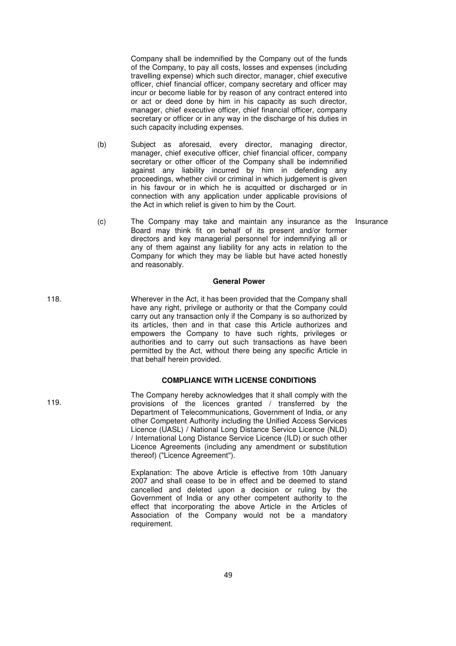Company shall be indemnified by the Company out of the funds of the Company, to pay all costs, losses and expenses (including travelling expense) which such director, manager, chief executive officer, chief financial officer, company secretary and officer may incur or become liable for by reason of any contract entered into or act or deed done by him in his capacity as such director, manager, chief executive officer, chief financial officer, company secretary or officer or in any way in the discharge of his duties in such capacity including expenses.

- (b) Subject as aforesaid, every director, managing director, manager, chief executive officer, chief financial officer, company secretary or other officer of the Company shall be indemnified against any liability incurred by him in defending any proceedings, whether civil or criminal in which judgement is given in his favour or in which he is acquitted or discharged or in connection with any application under applicable provisions of the Act in which relief is given to him by the Court.
- (c) The Company may take and maintain any insurance as the Insurance Board may think fit on behalf of its present and/or former directors and key managerial personnel for indemnifying all or any of them against any liability for any acts in relation to the Company for which they may be liable but have acted honestly and reasonably.

## **General Power**

118. Wherever in the Act, it has been provided that the Company shall have any right, privilege or authority or that the Company could carry out any transaction only if the Company is so authorized by its articles, then and in that case this Article authorizes and empowers the Company to have such rights, privileges or authorities and to carry out such transactions as have been permitted by the Act, without there being any specific Article in that behalf herein provided.

## **COMPLIANCE WITH LICENSE CONDITIONS**

The Company hereby acknowledges that it shall comply with the provisions of the licences granted / transferred by the Department of Telecommunications, Government of India, or any other Competent Authority including the Unified Access Services Licence (UASL) / National Long Distance Service Licence (NLD) / International Long Distance Service Licence (ILD) or such other Licence Agreements (including any amendment or substitution thereof) ("Licence Agreement").

Explanation: The above Article is effective from 10th January 2007 and shall cease to be in effect and be deemed to stand cancelled and deleted upon a decision or ruling by the Government of India or any other competent authority to the effect that incorporating the above Article in the Articles of Association of the Company would not be a mandatory requirement.

119.